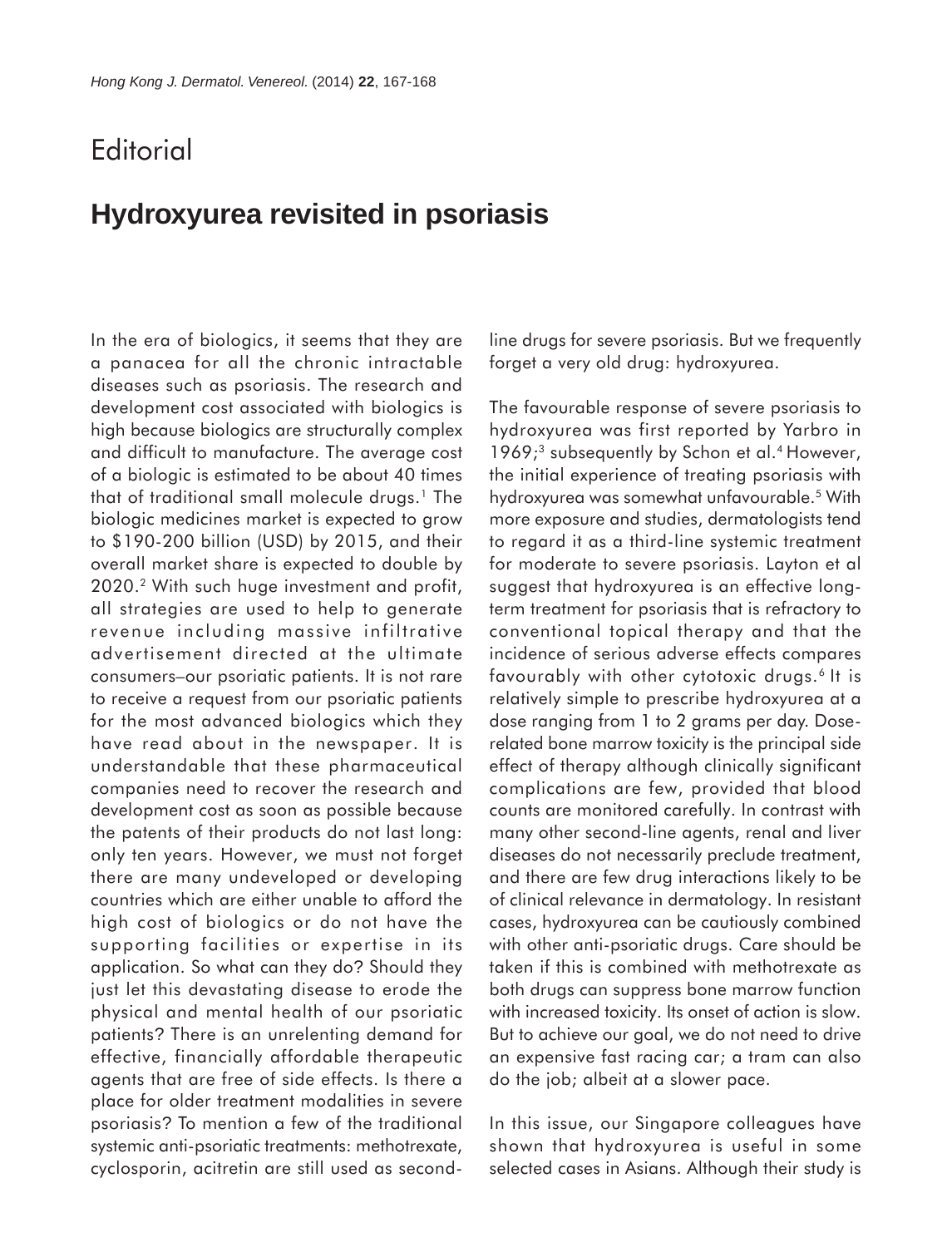## **Editorial**

## **Hydroxyurea revisited in psoriasis**

In the era of biologics, it seems that they are a panacea for all the chronic intractable diseases such as psoriasis. The research and development cost associated with biologics is high because biologics are structurally complex and difficult to manufacture. The average cost of a biologic is estimated to be about 40 times that of traditional small molecule drugs.<sup>1</sup> The biologic medicines market is expected to grow to \$190-200 billion (USD) by 2015, and their overall market share is expected to double by 2020.2 With such huge investment and profit, all strategies are used to help to generate revenue including massive infiltrative advertisement directed at the ultimate consumers–our psoriatic patients. It is not rare to receive a request from our psoriatic patients for the most advanced biologics which they have read about in the newspaper. It is understandable that these pharmaceutical companies need to recover the research and development cost as soon as possible because the patents of their products do not last long: only ten years. However, we must not forget there are many undeveloped or developing countries which are either unable to afford the high cost of biologics or do not have the supporting facilities or expertise in its application. So what can they do? Should they just let this devastating disease to erode the physical and mental health of our psoriatic patients? There is an unrelenting demand for effective, financially affordable therapeutic agents that are free of side effects. Is there a place for older treatment modalities in severe psoriasis? To mention a few of the traditional systemic anti-psoriatic treatments: methotrexate, cyclosporin, acitretin are still used as secondline drugs for severe psoriasis. But we frequently forget a very old drug: hydroxyurea.

The favourable response of severe psoriasis to hydroxyurea was first reported by Yarbro in 1969;<sup>3</sup> subsequently by Schon et al.<sup>4</sup> However, the initial experience of treating psoriasis with hydroxyurea was somewhat unfavourable.5 With more exposure and studies, dermatologists tend to regard it as a third-line systemic treatment for moderate to severe psoriasis. Layton et al suggest that hydroxyurea is an effective longterm treatment for psoriasis that is refractory to conventional topical therapy and that the incidence of serious adverse effects compares favourably with other cytotoxic drugs.<sup>6</sup> It is relatively simple to prescribe hydroxyurea at a dose ranging from 1 to 2 grams per day. Doserelated bone marrow toxicity is the principal side effect of therapy although clinically significant complications are few, provided that blood counts are monitored carefully. In contrast with many other second-line agents, renal and liver diseases do not necessarily preclude treatment, and there are few drug interactions likely to be of clinical relevance in dermatology. In resistant cases, hydroxyurea can be cautiously combined with other anti-psoriatic drugs. Care should be taken if this is combined with methotrexate as both drugs can suppress bone marrow function with increased toxicity. Its onset of action is slow. But to achieve our goal, we do not need to drive an expensive fast racing car; a tram can also do the job; albeit at a slower pace.

In this issue, our Singapore colleagues have shown that hydroxyurea is useful in some selected cases in Asians. Although their study is